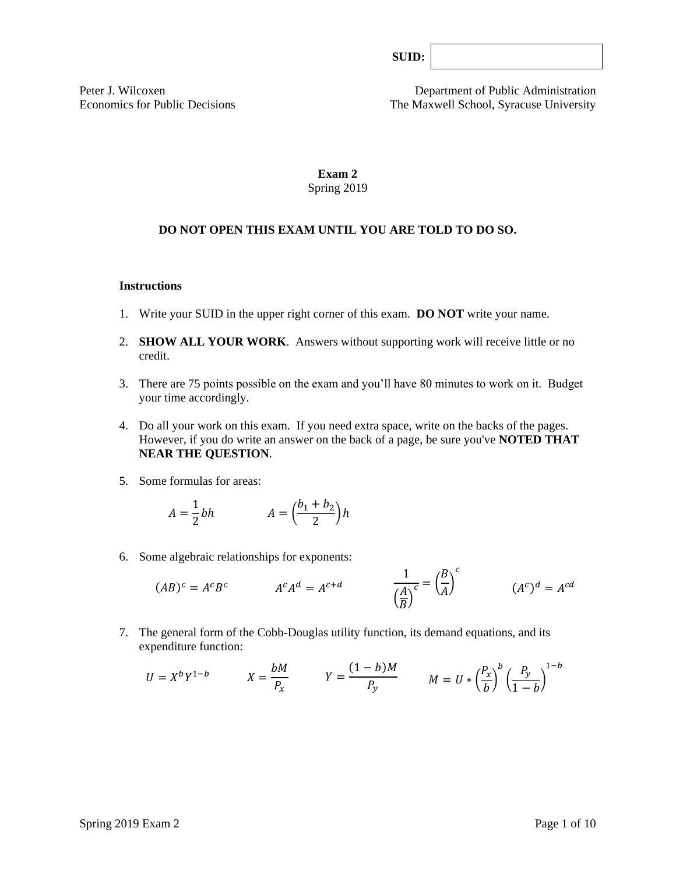Peter J. Wilcoxen<br>
Economics for Public Decisions<br>
The Maxwell School, Syracuse University The Maxwell School, Syracuse University

# **Exam 2** Spring 2019

# **DO NOT OPEN THIS EXAM UNTIL YOU ARE TOLD TO DO SO.**

#### **Instructions**

- 1. Write your SUID in the upper right corner of this exam. **DO NOT** write your name.
- 2. **SHOW ALL YOUR WORK**. Answers without supporting work will receive little or no credit.
- 3. There are 75 points possible on the exam and you'll have 80 minutes to work on it. Budget your time accordingly.
- 4. Do all your work on this exam. If you need extra space, write on the backs of the pages. However, if you do write an answer on the back of a page, be sure you've **NOTED THAT NEAR THE QUESTION**.
- 5. Some formulas for areas:

$$
A = \frac{1}{2}bh \qquad A = \left(\frac{b_1 + b_2}{2}\right)h
$$

6. Some algebraic relationships for exponents:

$$
(AB)^c = A^c B^c \qquad \qquad A^c A^d = A^{c+d} \qquad \qquad \frac{1}{\left(\frac{A}{B}\right)^c} = \left(\frac{B}{A}\right)^c \qquad \qquad (A^c)^d = A^{cd}
$$

7. The general form of the Cobb-Douglas utility function, its demand equations, and its expenditure function:

$$
U = X^b Y^{1-b} \qquad X = \frac{bM}{P_x} \qquad Y = \frac{(1-b)M}{P_y} \qquad M = U * \left(\frac{P_x}{b}\right)^b \left(\frac{P_y}{1-b}\right)^{1-b}
$$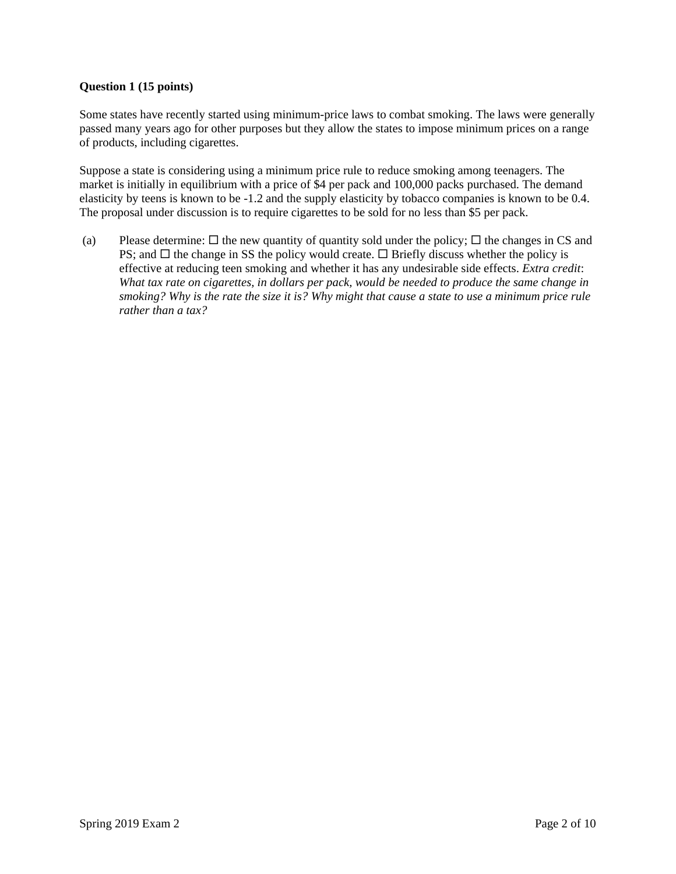## **Question 1 (15 points)**

Some states have recently started using minimum-price laws to combat smoking. The laws were generally passed many years ago for other purposes but they allow the states to impose minimum prices on a range of products, including cigarettes.

Suppose a state is considering using a minimum price rule to reduce smoking among teenagers. The market is initially in equilibrium with a price of \$4 per pack and 100,000 packs purchased. The demand elasticity by teens is known to be -1.2 and the supply elasticity by tobacco companies is known to be 0.4. The proposal under discussion is to require cigarettes to be sold for no less than \$5 per pack.

(a) Please determine:  $\Box$  the new quantity of quantity sold under the policy;  $\Box$  the changes in CS and PS; and  $\Box$  the change in SS the policy would create.  $\Box$  Briefly discuss whether the policy is effective at reducing teen smoking and whether it has any undesirable side effects. *Extra credit*: *What tax rate on cigarettes, in dollars per pack, would be needed to produce the same change in smoking? Why is the rate the size it is? Why might that cause a state to use a minimum price rule rather than a tax?*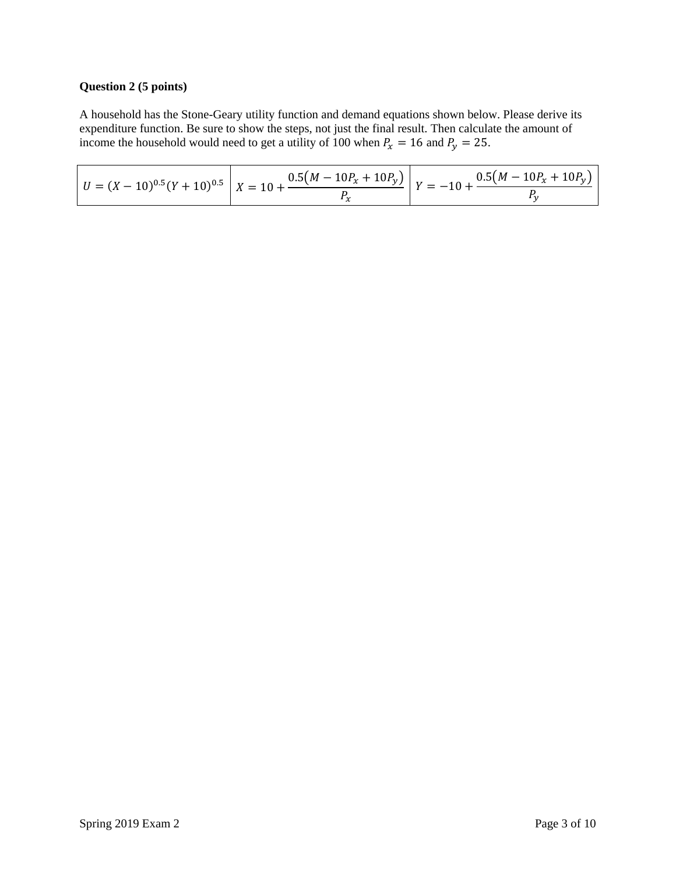# **Question 2 (5 points)**

A household has the Stone-Geary utility function and demand equations shown below. Please derive its expenditure function. Be sure to show the steps, not just the final result. Then calculate the amount of income the household would need to get a utility of 100 when  $P_x = 16$  and  $P_y = 25$ .

|  |  | $\left  U = (X - 10)^{0.5} (Y + 10)^{0.5} \right  X = 10 + \frac{0.5(M - 10P_x + 10P_y)}{T} \left  Y = -10 + \frac{0.5(M - 10P_x + 10P_y)}{T} \right $ |
|--|--|--------------------------------------------------------------------------------------------------------------------------------------------------------|
|--|--|--------------------------------------------------------------------------------------------------------------------------------------------------------|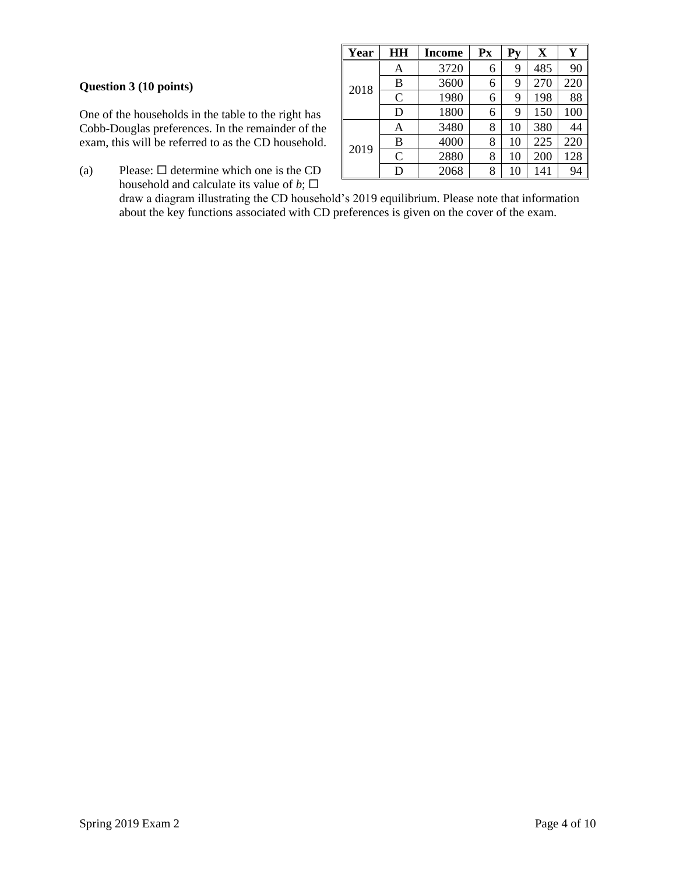## **Question 3 (10 points)**

One of the households in the table to the right has Cobb-Douglas preferences. In the remainder of the exam, this will be referred to as the CD household.

(a) Please:  $\Box$  determine which one is the CD household and calculate its value of  $b$ ;  $\square$ 

| Year | HН             | Income | Px | Pv | $\mathbf X$ | Y   |
|------|----------------|--------|----|----|-------------|-----|
|      | Α              | 3720   | 6  | 9  | 485         | 90  |
| 2018 | B              | 3600   | 6  | 9  | 270         | 220 |
|      | $\mathcal{C}$  | 1980   | 6  | 9  | 198         | 88  |
|      | D              | 1800   | 6  | 9  | 150         | 100 |
|      | Α              | 3480   | 8  | 10 | 380         | 44  |
| 2019 | B              | 4000   | 8  | 10 | 225         | 220 |
|      | $\overline{C}$ | 2880   | 8  | 10 | 200         | 128 |
|      | D              | 2068   | 8  | 10 | 141         | 94  |

draw a diagram illustrating the CD household's 2019 equilibrium. Please note that information about the key functions associated with CD preferences is given on the cover of the exam.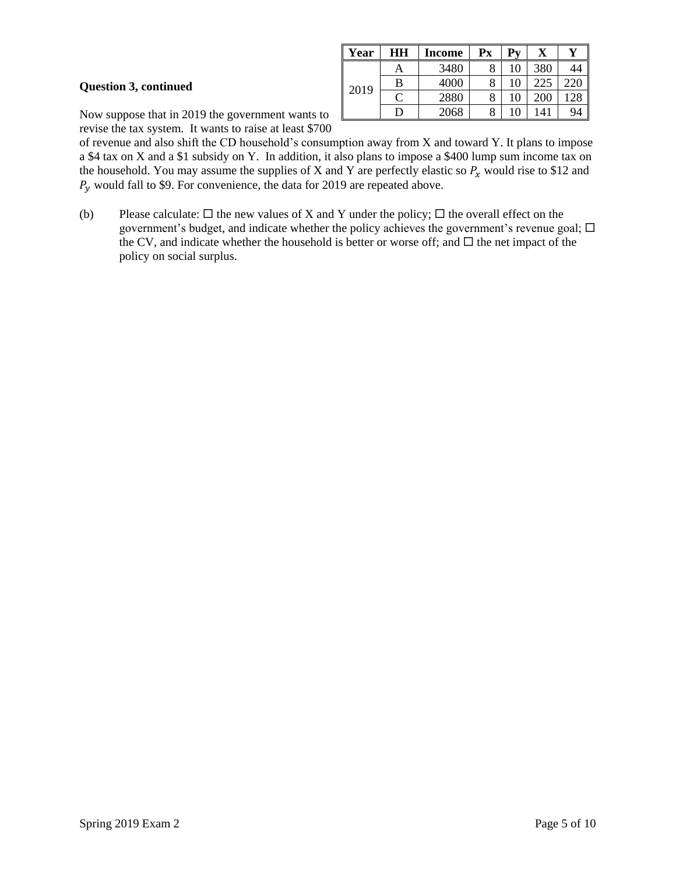### **Question 3, continued**

| Year | HН | Income | $\mathbf{P} \mathbf{x}$ | $Py$ |     | 37 |
|------|----|--------|-------------------------|------|-----|----|
|      | Α  | 3480   | O                       |      | 380 |    |
|      | B  | 4000   | 8                       | 10   |     |    |
| 2019 |    | 2880   | 8                       | 10   | 200 |    |
|      | נו | 2068   | 8                       | 10   | 141 | 94 |

Now suppose that in 2019 the government wants to revise the tax system. It wants to raise at least \$700

of revenue and also shift the CD household's consumption away from X and toward Y. It plans to impose a \$4 tax on X and a \$1 subsidy on Y. In addition, it also plans to impose a \$400 lump sum income tax on the household. You may assume the supplies of X and Y are perfectly elastic so  $P_x$  would rise to \$12 and  $P_y$  would fall to \$9. For convenience, the data for 2019 are repeated above.

(b) Please calculate:  $\Box$  the new values of X and Y under the policy;  $\Box$  the overall effect on the government's budget, and indicate whether the policy achieves the government's revenue goal;  $\Box$ the CV, and indicate whether the household is better or worse off; and  $\Box$  the net impact of the policy on social surplus.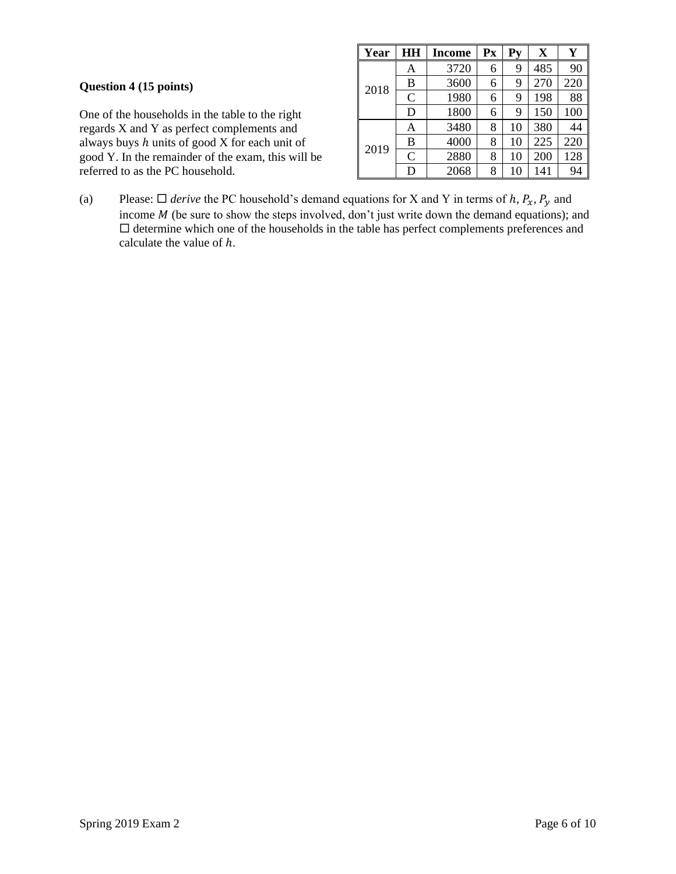# **Question 4 (15 points)**

One of the households in the table to the right regards X and Y as perfect complements and always buys  $h$  units of good  $X$  for each unit of good Y. In the remainder of the exam, this will be referred to as the PC household.

| Year | HH            | <b>Income</b> | $\mathbf{P} \mathbf{x}$ | $Py$ | X   | Y   |
|------|---------------|---------------|-------------------------|------|-----|-----|
|      | A             | 3720          | 6                       | 9    | 485 | 90  |
| 2018 | B             | 3600          | 6                       | 9    | 270 | 220 |
|      | $\mathcal{C}$ | 1980          | 6                       | 9    | 198 | 88  |
|      | D             | 1800          | 6                       | 9    | 150 | 100 |
|      | Α             | 3480          | 8                       | 10   | 380 | 44  |
| 2019 | B             | 4000          | 8                       | 10   | 225 | 220 |
|      | C             | 2880          | 8                       | 10   | 200 | 128 |
|      | D             | 2068          | 8                       | 10   | 141 | 94  |

(a) Please:  $\Box$  *derive* the PC household's demand equations for X and Y in terms of h,  $P_x$ ,  $P_y$  and income  $M$  (be sure to show the steps involved, don't just write down the demand equations); and  $\square$  determine which one of the households in the table has perfect complements preferences and calculate the value of  $h$ .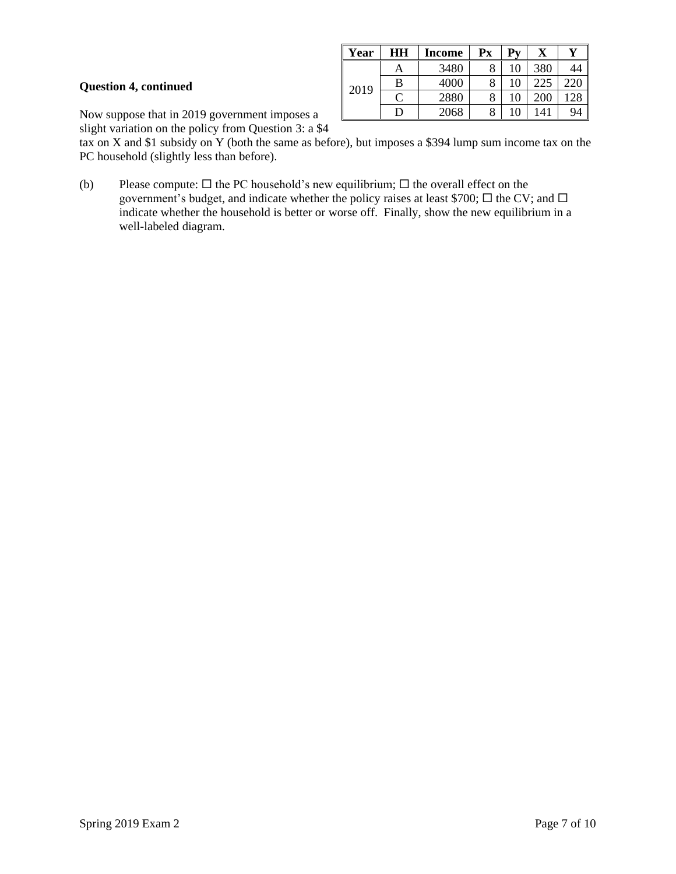## **Question 4, continued**

| Year | HН | Income | Px     | Pv |     | $\mathbf{v}$ |
|------|----|--------|--------|----|-----|--------------|
|      | A  | 3480   | Ω<br>O | 10 | 380 |              |
|      | B  | 4000   | 8      | 10 | 225 |              |
| 2019 | С  | 2880   | 8      | 10 | 200 |              |
|      | D  | 2068   | 8      | 10 | 141 | 94           |

Now suppose that in 2019 government imposes a

slight variation on the policy from Question 3: a \$4

tax on X and \$1 subsidy on Y (both the same as before), but imposes a \$394 lump sum income tax on the PC household (slightly less than before).

(b) Please compute:  $\Box$  the PC household's new equilibrium;  $\Box$  the overall effect on the government's budget, and indicate whether the policy raises at least \$700;  $\Box$  the CV; and  $\Box$ indicate whether the household is better or worse off. Finally, show the new equilibrium in a well-labeled diagram.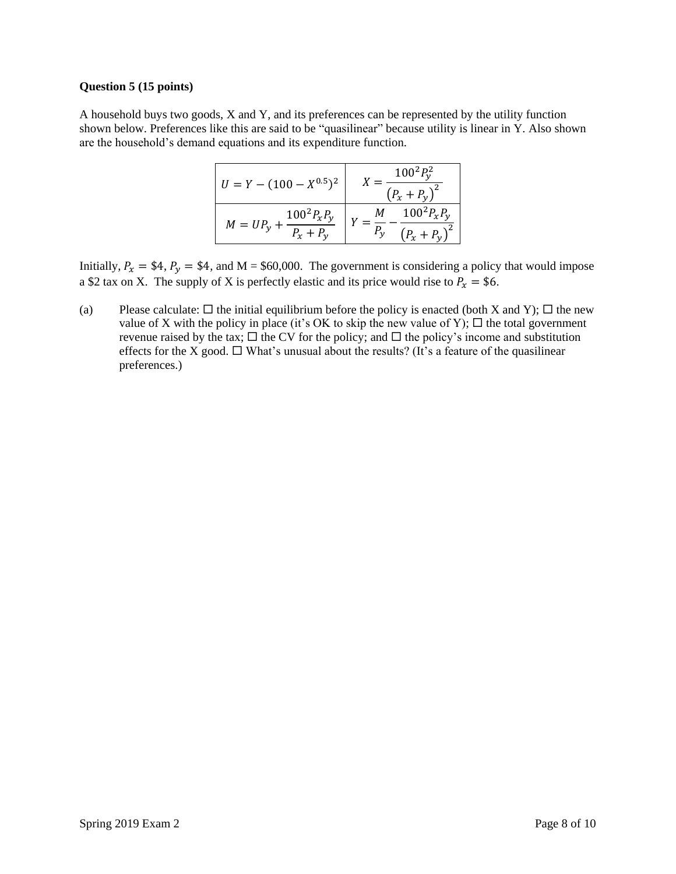#### **Question 5 (15 points)**

A household buys two goods, X and Y, and its preferences can be represented by the utility function shown below. Preferences like this are said to be "quasilinear" because utility is linear in Y. Also shown are the household's demand equations and its expenditure function.

| $U = Y - (100 - X^{0.5})^2$                          | $100^2 P_v^2$<br>$\left(P_x + P_v\right)^2$ |
|------------------------------------------------------|---------------------------------------------|
| $100^2 P_{x} P_{y}$<br>$M = UP_{v}$ +<br>$P_x + P_v$ | $100^2 P_{x} P_{y}$<br>$(P_x + P_v)$        |

Initially,  $P_x = $4$ ,  $P_y = $4$ , and M = \$60,000. The government is considering a policy that would impose a \$2 tax on X. The supply of X is perfectly elastic and its price would rise to  $P_x = $6$ .

(a) Please calculate:  $\Box$  the initial equilibrium before the policy is enacted (both X and Y);  $\Box$  the new value of X with the policy in place (it's OK to skip the new value of Y);  $\Box$  the total government revenue raised by the tax;  $\Box$  the CV for the policy; and  $\Box$  the policy's income and substitution effects for the X good.  $\Box$  What's unusual about the results? (It's a feature of the quasilinear preferences.)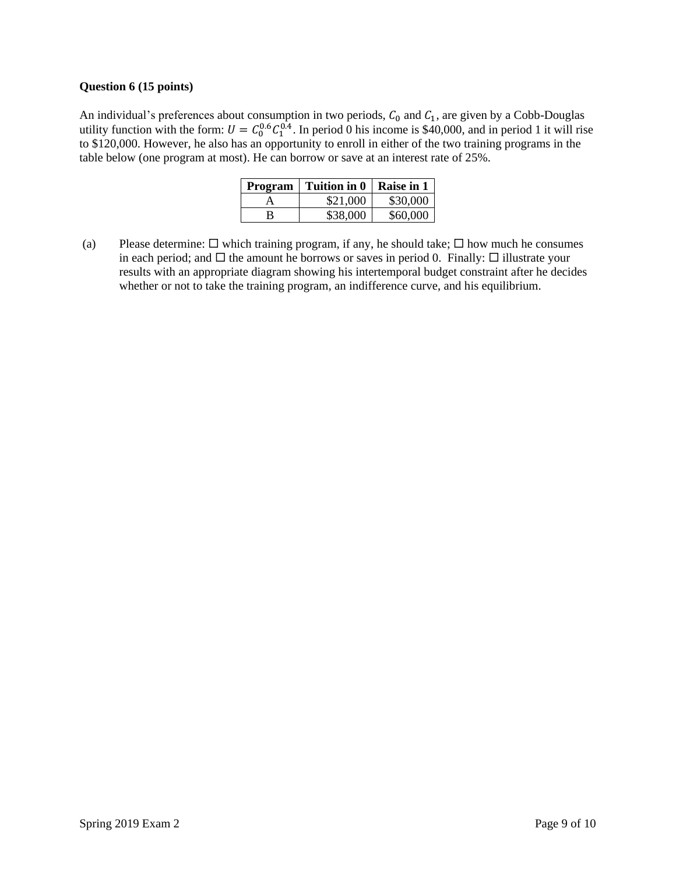#### **Question 6 (15 points)**

An individual's preferences about consumption in two periods,  $C_0$  and  $C_1$ , are given by a Cobb-Douglas utility function with the form:  $U = C_0^{0.6} C_1^{0.4}$ . In period 0 his income is \$40,000, and in period 1 it will rise to \$120,000. However, he also has an opportunity to enroll in either of the two training programs in the table below (one program at most). He can borrow or save at an interest rate of 25%.

| Program | Tuition in 0 | Raise in 1 |
|---------|--------------|------------|
|         | \$21,000     | \$30,000   |
| R       | \$38,000     | \$60,000   |

(a) Please determine:  $\Box$  which training program, if any, he should take;  $\Box$  how much he consumes in each period; and  $\Box$  the amount he borrows or saves in period 0. Finally:  $\Box$  illustrate your results with an appropriate diagram showing his intertemporal budget constraint after he decides whether or not to take the training program, an indifference curve, and his equilibrium.